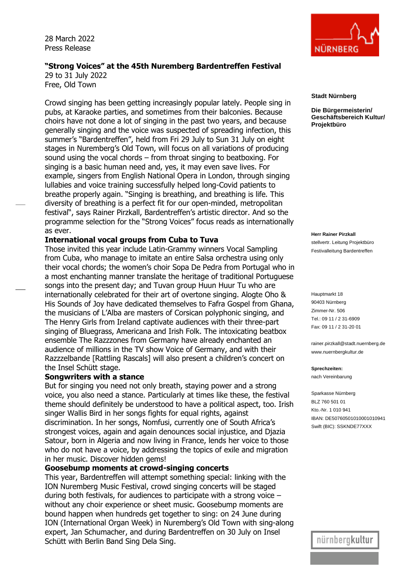28 March 2022 Press Release

## **"Strong Voices" at the 45th Nuremberg Bardentreffen Festival** 29 to 31 July 2022

Free, Old Town

Crowd singing has been getting increasingly popular lately. People sing in pubs, at Karaoke parties, and sometimes from their balconies. Because choirs have not done a lot of singing in the past two years, and because generally singing and the voice was suspected of spreading infection, this summer's "Bardentreffen", held from Fri 29 July to Sun 31 July on eight stages in Nuremberg's Old Town, will focus on all variations of producing sound using the vocal chords – from throat singing to beatboxing. For singing is a basic human need and, yes, it may even save lives. For example, singers from English National Opera in London, through singing lullabies and voice training successfully helped long-Covid patients to breathe properly again. "Singing is breathing, and breathing is life. This diversity of breathing is a perfect fit for our open-minded, metropolitan festival", says Rainer Pirzkall, Bardentreffen's artistic director. And so the programme selection for the "Strong Voices" focus reads as internationally as ever.

### **International vocal groups from Cuba to Tuva**

Those invited this year include Latin-Grammy winners Vocal Sampling from Cuba, who manage to imitate an entire Salsa orchestra using only their vocal chords; the women's choir Sopa De Pedra from Portugal who in a most enchanting manner translate the heritage of traditional Portuguese songs into the present day; and Tuvan group Huun Huur Tu who are internationally celebrated for their art of overtone singing. Alogte Oho & His Sounds of Joy have dedicated themselves to Fafra Gospel from Ghana, the musicians of L'Alba are masters of Corsican polyphonic singing, and The Henry Girls from Ireland captivate audiences with their three-part singing of Bluegrass, Americana and Irish Folk. The intoxicating beatbox ensemble The Razzzones from Germany have already enchanted an audience of millions in the TV show Voice of Germany, and with their Razzzelbande [Rattling Rascals] will also present a children's concert on the Insel Schütt stage.

## **Songwriters with a stance**

But for singing you need not only breath, staying power and a strong voice, you also need a stance. Particularly at times like these, the festival theme should definitely be understood to have a political aspect, too. Irish singer Wallis Bird in her songs fights for equal rights, against discrimination. In her songs, Nomfusi, currently one of South Africa's strongest voices, again and again denounces social injustice, and Djazia Satour, born in Algeria and now living in France, lends her voice to those who do not have a voice, by addressing the topics of exile and migration in her music. Discover hidden gems!

## **Goosebump moments at crowd-singing concerts**

This year, Bardentreffen will attempt something special: linking with the ION Nuremberg Music Festival, crowd singing concerts will be staged during both festivals, for audiences to participate with a strong voice – without any choir experience or sheet music. Goosebump moments are bound happen when hundreds get together to sing: on 24 June during ION (International Organ Week) in Nuremberg's Old Town with sing-along expert, Jan Schumacher, and during Bardentreffen on 30 July on Insel Schütt with Berlin Band Sing Dela Sing.



#### **Stadt Nürnberg**

**Die Bürgermeisterin/ Geschäftsbereich Kultur/ Projektbüro**

**Herr Rainer Pirzkall** stellvertr. Leitung Projektbüro Festivalleitung Bardentreffen

Hauptmarkt 18 90403 Nürnberg Zimmer-Nr. 506 Tel.: 09 11 / 2 31-6909 Fax: 09 11 / 2 31-20 01

rainer.pirzkall@stadt.nuernberg.de www.nuernbergkultur.de

**Sprechzeiten:** nach Vereinbarung

Sparkasse Nürnberg BLZ 760 501 01 Kto.-Nr. 1 010 941 IBAN: DE50760501010001010941 Swift (BIC): SSKNDE77XXX

nürnbergkultur